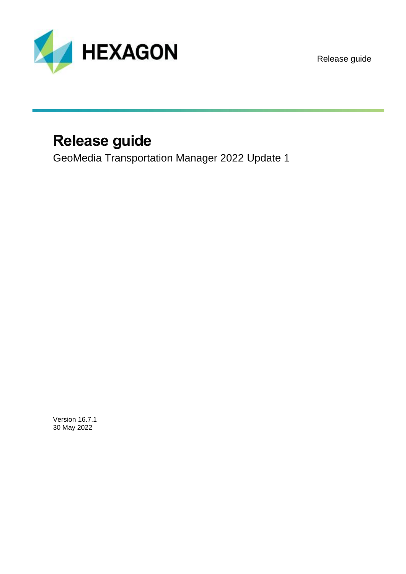

Release guide

## **Release guide**

GeoMedia Transportation Manager 2022 Update 1

Version 16.7.1 30 May 2022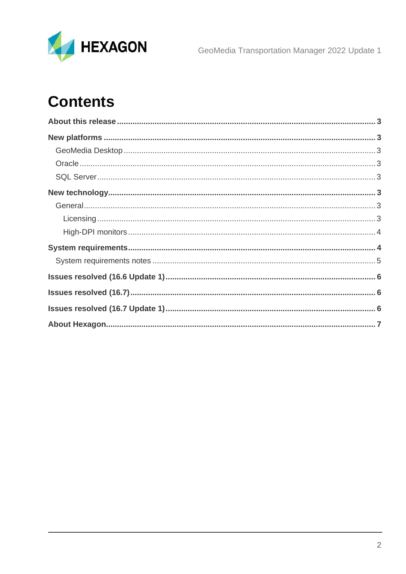

GeoMedia Transportation Manager 2022 Update 1

# **Contents**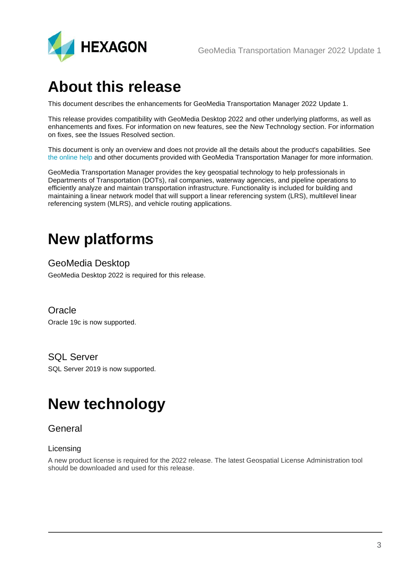

### <span id="page-2-0"></span>**About this release**

This document describes the enhancements for GeoMedia Transportation Manager 2022 Update 1.

This release provides compatibility with GeoMedia Desktop 2022 and other underlying platforms, as well as enhancements and fixes. For information on new features, see the New Technology section. For information on fixes, see the Issues Resolved section.

This document is only an overview and does not provide all the details about the product's capabilities. See [the online help](https://hexagongeospatial.fluidtopics.net/search/all?filters=HGD_Product~%2522GeoMedia+Add-Ons%2522*ft%253Apublication_title~%2522GeoMedia+Transportation+Manager+Help%2522&content-lang=en-US) and other documents provided with GeoMedia Transportation Manager for more information.

GeoMedia Transportation Manager provides the key geospatial technology to help professionals in Departments of Transportation (DOTs), rail companies, waterway agencies, and pipeline operations to efficiently analyze and maintain transportation infrastructure. Functionality is included for building and maintaining a linear network model that will support a linear referencing system (LRS), multilevel linear referencing system (MLRS), and vehicle routing applications.

## <span id="page-2-1"></span>**New platforms**

#### <span id="page-2-2"></span>GeoMedia Desktop

GeoMedia Desktop 2022 is required for this release.

#### <span id="page-2-3"></span>**Oracle**

Oracle 19c is now supported.

#### <span id="page-2-4"></span>SQL Server

SQL Server 2019 is now supported.

## <span id="page-2-5"></span>**New technology**

#### <span id="page-2-6"></span>**General**

#### <span id="page-2-7"></span>Licensing

A new product license is required for the 2022 release. The latest Geospatial License Administration tool should be downloaded and used for this release.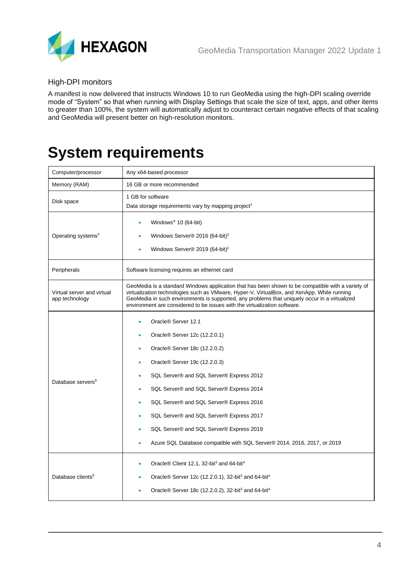

#### <span id="page-3-0"></span>High-DPI monitors

A manifest is now delivered that instructs Windows 10 to run GeoMedia using the high-DPI scaling override mode of "System" so that when running with Display Settings that scale the size of text, apps, and other items to greater than 100%, the system will automatically adjust to counteract certain negative effects of that scaling and GeoMedia will present better on high-resolution monitors.

## <span id="page-3-1"></span>**System requirements**

| Computer/processor                           | Any x64-based processor                                                                                                                                                                                                                                                                                                                                                                                                                                                                                                     |
|----------------------------------------------|-----------------------------------------------------------------------------------------------------------------------------------------------------------------------------------------------------------------------------------------------------------------------------------------------------------------------------------------------------------------------------------------------------------------------------------------------------------------------------------------------------------------------------|
| Memory (RAM)                                 | 16 GB or more recommended                                                                                                                                                                                                                                                                                                                                                                                                                                                                                                   |
| Disk space                                   | 1 GB for software<br>Data storage requirements vary by mapping project <sup>1</sup>                                                                                                                                                                                                                                                                                                                                                                                                                                         |
| Operating systems <sup>2</sup>               | Windows <sup>®</sup> 10 (64-bit)<br>Windows Server® 2016 (64-bit) <sup>2</sup><br>Windows Server® 2019 (64-bit) <sup>2</sup>                                                                                                                                                                                                                                                                                                                                                                                                |
| Peripherals                                  | Software licensing requires an ethernet card                                                                                                                                                                                                                                                                                                                                                                                                                                                                                |
| Virtual server and virtual<br>app technology | GeoMedia is a standard Windows application that has been shown to be compatible with a variety of<br>virtualization technologies such as VMware, Hyper-V, VirtualBox, and XenApp. While running<br>GeoMedia in such environments is supported, any problems that uniquely occur in a virtualized<br>environment are considered to be issues with the virtualization software.                                                                                                                                               |
| Database servers <sup>6</sup>                | Oracle <sup>®</sup> Server 12.1<br>٠<br>Oracle <sup>®</sup> Server 12c (12.2.0.1)<br>۰<br>Oracle <sup>®</sup> Server 18c (12.2.0.2)<br>۰<br>Oracle <sup>®</sup> Server 19c (12.2.0.3)<br>۰<br>SQL Server® and SQL Server® Express 2012<br>٠<br>SQL Server® and SQL Server® Express 2014<br>٠<br>SQL Server® and SQL Server® Express 2016<br>٠<br>SQL Server® and SQL Server® Express 2017<br>٠<br>SQL Server® and SQL Server® Express 2019<br>۰<br>Azure SQL Database compatible with SQL Server® 2014, 2016, 2017, or 2019 |
| Database clients <sup>6</sup>                | Oracle® Client 12.1, 32-bit <sup>3</sup> and 64-bit <sup>4</sup><br>Oracle® Server 12c (12.2.0.1), 32-bit <sup>3</sup> and 64-bit <sup>4</sup><br>Oracle® Server 18c (12.2.0.2), 32-bit <sup>3</sup> and 64-bit <sup>4</sup>                                                                                                                                                                                                                                                                                                |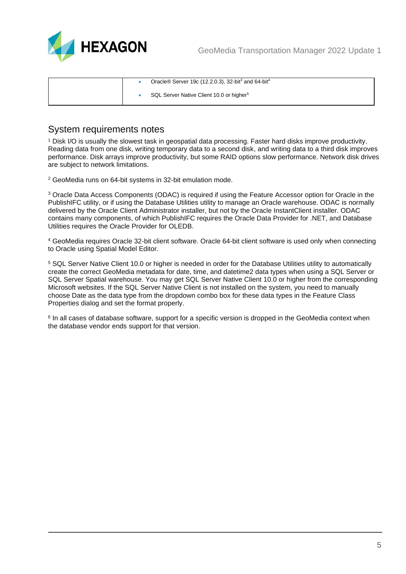



|  | Oracle <sup>®</sup> Server 19c (12.2.0.3), 32-bit <sup>3</sup> and 64-bit <sup>4</sup> |
|--|----------------------------------------------------------------------------------------|
|  | SQL Server Native Client 10.0 or higher <sup>5</sup>                                   |

#### <span id="page-4-0"></span>System requirements notes

<sup>1</sup> Disk I/O is usually the slowest task in geospatial data processing. Faster hard disks improve productivity. Reading data from one disk, writing temporary data to a second disk, and writing data to a third disk improves performance. Disk arrays improve productivity, but some RAID options slow performance. Network disk drives are subject to network limitations.

<sup>2</sup> GeoMedia runs on 64-bit systems in 32-bit emulation mode.

<sup>3</sup> Oracle Data Access Components (ODAC) is required if using the Feature Accessor option for Oracle in the PublishIFC utility, or if using the Database Utilities utility to manage an Oracle warehouse. ODAC is normally delivered by the Oracle Client Administrator installer, but not by the Oracle InstantClient installer. ODAC contains many components, of which PublishIFC requires the Oracle Data Provider for .NET, and Database Utilities requires the Oracle Provider for OLEDB.

<sup>4</sup> GeoMedia requires Oracle 32-bit client software. Oracle 64-bit client software is used only when connecting to Oracle using Spatial Model Editor.

<sup>5</sup> SQL Server Native Client 10.0 or higher is needed in order for the Database Utilities utility to automatically create the correct GeoMedia metadata for date, time, and datetime2 data types when using a SQL Server or SQL Server Spatial warehouse. You may get SQL Server Native Client 10.0 or higher from the corresponding Microsoft websites. If the SQL Server Native Client is not installed on the system, you need to manually choose Date as the data type from the dropdown combo box for these data types in the Feature Class Properties dialog and set the format properly.

 $^6$  In all cases of database software, support for a specific version is dropped in the GeoMedia context when  $\,$ the database vendor ends support for that version.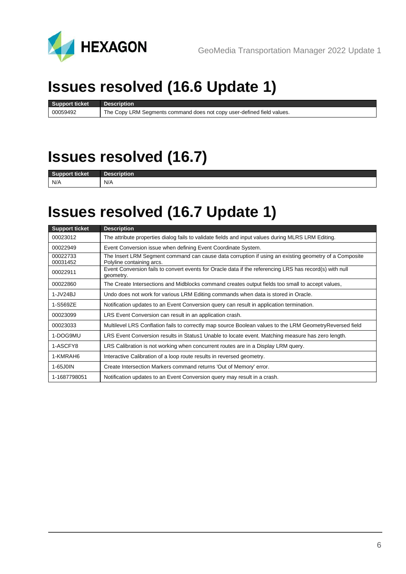

# <span id="page-5-0"></span>**Issues resolved (16.6 Update 1)**

**Support ticket Description** 00059492 The Copy LRM Segments command does not copy user-defined field values.

### <span id="page-5-1"></span>**Issues resolved (16.7)**

**Support ticket Descriptions** N/A N/A

### <span id="page-5-2"></span>**Issues resolved (16.7 Update 1)**

| <b>Support ticket</b> | <b>Description</b>                                                                                                                 |
|-----------------------|------------------------------------------------------------------------------------------------------------------------------------|
| 00023012              | The attribute properties dialog fails to validate fields and input values during MLRS LRM Editing.                                 |
| 00022949              | Event Conversion issue when defining Event Coordinate System.                                                                      |
| 00022733<br>00031452  | The Insert LRM Segment command can cause data corruption if using an existing geometry of a Composite<br>Polyline containing arcs. |
| 00022911              | Event Conversion fails to convert events for Oracle data if the referencing LRS has record(s) with null<br>geometry.               |
| 00022860              | The Create Intersections and Midblocks command creates output fields too small to accept values,                                   |
| 1-JV24BJ              | Undo does not work for various LRM Editing commands when data is stored in Oracle.                                                 |
| 1-S569ZE              | Notification updates to an Event Conversion query can result in application termination.                                           |
| 00023099              | LRS Event Conversion can result in an application crash.                                                                           |
| 00023033              | Multilevel LRS Conflation fails to correctly map source Boolean values to the LRM Geometry Reversed field                          |
| 1-DOG9MU              | LRS Event Conversion results in Status1 Unable to locate event. Matching measure has zero length.                                  |
| 1-ASCFY8              | LRS Calibration is not working when concurrent routes are in a Display LRM query.                                                  |
| 1-KMRAH6              | Interactive Calibration of a loop route results in reversed geometry.                                                              |
| 1-65J0IN              | Create Intersection Markers command returns 'Out of Memory' error.                                                                 |
| 1-1687798051          | Notification updates to an Event Conversion query may result in a crash.                                                           |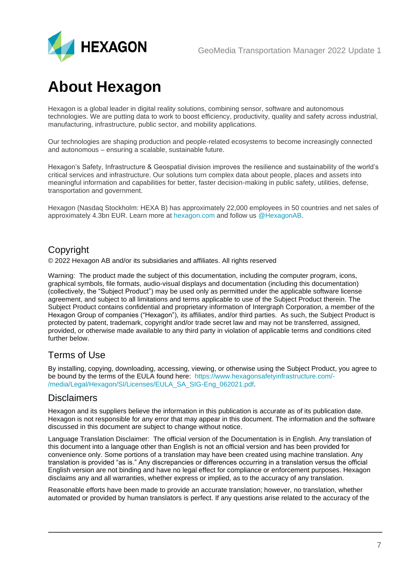

## <span id="page-6-0"></span>**About Hexagon**

Hexagon is a global leader in digital reality solutions, combining sensor, software and autonomous technologies. We are putting data to work to boost efficiency, productivity, quality and safety across industrial, manufacturing, infrastructure, public sector, and mobility applications.

Our technologies are shaping production and people-related ecosystems to become increasingly connected and autonomous – ensuring a scalable, sustainable future.

Hexagon's Safety, Infrastructure & Geospatial division improves the resilience and sustainability of the world's critical services and infrastructure. Our solutions turn complex data about people, places and assets into meaningful information and capabilities for better, faster decision-making in public safety, utilities, defense, transportation and government.

Hexagon (Nasdaq Stockholm: HEXA B) has approximately 22,000 employees in 50 countries and net sales of approximately 4.3bn EUR. Learn more at [hexagon.com](https://hexagon.com/) and follow us [@HexagonAB.](https://twitter.com/hexagonab)

### Copyright

© 2022 Hexagon AB and/or its subsidiaries and affiliates. All rights reserved

Warning: The product made the subject of this documentation, including the computer program, icons, graphical symbols, file formats, audio-visual displays and documentation (including this documentation) (collectively, the "Subject Product") may be used only as permitted under the applicable software license agreement, and subject to all limitations and terms applicable to use of the Subject Product therein. The Subject Product contains confidential and proprietary information of Intergraph Corporation, a member of the Hexagon Group of companies ("Hexagon"), its affiliates, and/or third parties. As such, the Subject Product is protected by patent, trademark, copyright and/or trade secret law and may not be transferred, assigned, provided, or otherwise made available to any third party in violation of applicable terms and conditions cited further below.

### Terms of Use

By installing, copying, downloading, accessing, viewing, or otherwise using the Subject Product, you agree to be bound by the terms of the EULA found here: [https://www.hexagonsafetyinfrastructure.com/-](https://www.hexagonsafetyinfrastructure.com/-/media/Legal/Hexagon/SI/Licenses/EULA_SA_SIG-Eng_062021.pdf) [/media/Legal/Hexagon/SI/Licenses/EULA\\_SA\\_SIG-Eng\\_062021.pdf.](https://www.hexagonsafetyinfrastructure.com/-/media/Legal/Hexagon/SI/Licenses/EULA_SA_SIG-Eng_062021.pdf)

### **Disclaimers**

Hexagon and its suppliers believe the information in this publication is accurate as of its publication date. Hexagon is not responsible for any error that may appear in this document. The information and the software discussed in this document are subject to change without notice.

Language Translation Disclaimer: The official version of the Documentation is in English. Any translation of this document into a language other than English is not an official version and has been provided for convenience only. Some portions of a translation may have been created using machine translation. Any translation is provided "as is." Any discrepancies or differences occurring in a translation versus the official English version are not binding and have no legal effect for compliance or enforcement purposes. Hexagon disclaims any and all warranties, whether express or implied, as to the accuracy of any translation.

Reasonable efforts have been made to provide an accurate translation; however, no translation, whether automated or provided by human translators is perfect. If any questions arise related to the accuracy of the